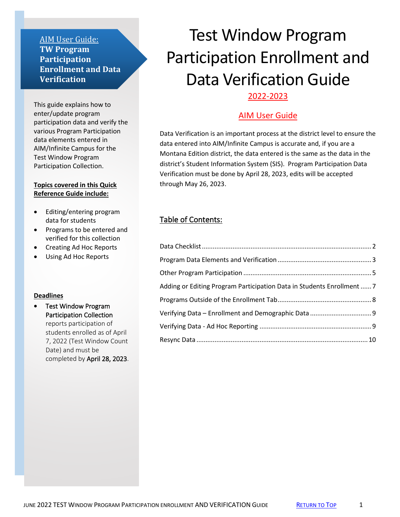### AIM User Guide: **TW Program Participation Enrollment and Data Verification**

This guide explains how to enter/update program participation data and verify the various Program Participation data elements entered in AIM/Infinite Campus for the Test Window Program Participation Collection.

#### **Topics covered in this Quick Reference Guide include:**

- Editing/entering program data for students
- Programs to be entered and verified for this collection
- Creating Ad Hoc Reports
- Using Ad Hoc Reports

#### **Deadlines**

• Test Window Program Participation Collection reports participation of students enrolled as of April 7, 2022 (Test Window Count Date) and must be completed by April 28, 2023.

# <span id="page-0-0"></span>Test Window Program Participation Enrollment and Data Verification Guide 2022-2023

# AIM User Guide

Data Verification is an important process at the district level to ensure the data entered into AIM/Infinite Campus is accurate and, if you are a Montana Edition district, the data entered is the same as the data in the district's Student Information System (SIS). Program Participation Data Verification must be done by April 28, 2023, edits will be accepted through May 26, 2023.

# Table of Contents:

| Adding or Editing Program Participation Data in Students Enrollment  7 |  |
|------------------------------------------------------------------------|--|
|                                                                        |  |
|                                                                        |  |
|                                                                        |  |
|                                                                        |  |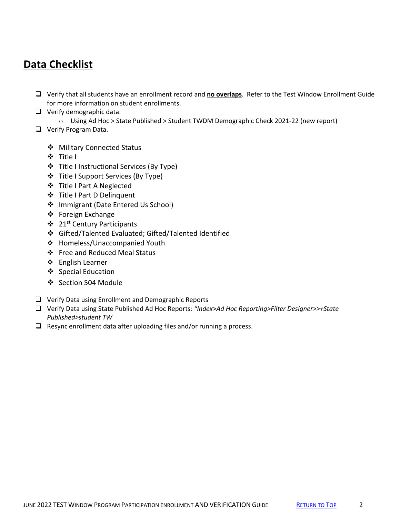# <span id="page-1-0"></span>**Data Checklist**

- ❑ Verify that all students have an enrollment record and **no overlaps**.Refer to the Test Window Enrollment Guide for more information on student enrollments.
- ❑ Verify demographic data.
	- o Using Ad Hoc > State Published > Student TWDM Demographic Check 2021-22 (new report)
- ❑ Verify Program Data.
	- ❖ Military Connected Status
	- ❖ Title I
	- ❖ Title I Instructional Services (By Type)
	- ❖ Title I Support Services (By Type)
	- ❖ Title I Part A Neglected
	- ❖ Title I Part D Delinquent
	- ❖ Immigrant (Date Entered Us School)
	- ❖ Foreign Exchange
	- ❖ 21st Century Participants
	- ❖ Gifted/Talented Evaluated; Gifted/Talented Identified
	- ❖ Homeless/Unaccompanied Youth
	- ❖ Free and Reduced Meal Status
	- ❖ English Learner
	- ❖ [Special Education](#page-8-2)
	- ❖ [Section 504 Module](https://opi.mt.gov/Portals/182/Page%20Files/AIM/3%20AIM%20UPLOAD%20TEMPLATES/Section%20504%20Import%20Template.xlsx?ver=2021-11-29-093652-483)
- ❑ Verify Data using Enrollment and Demographic Reports
- ❑ Verify Data using State Published Ad Hoc Reports: *"Index>Ad Hoc Reporting>Filter Designer>>+State Published>student TW*
- ❑ Resync enrollment data after uploading files and/or running a process.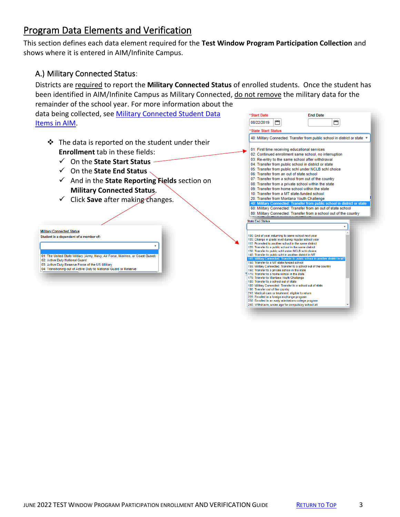# <span id="page-2-0"></span>Program Data Elements and Verification

This section defines each data element required for the **Test Window Program Participation Collection** and shows where it is entered in AIM/Infinite Campus.

### A.) Military Connected Status:

Districts are required to report the **Military Connected Status** of enrolled students. Once the student has been identified in AIM/Infinite Campus as Military Connected, do not remove the military data for the

remainder of the school year. For more information about the data being collected, see Military Connected Student Data [Items in AIM.](http://opi.mt.gov/Portals/182/Page%20Files/AIM/2%20AIM%20USER%20GUIDES/Program%20Participation/MilitaryConnectedStudentData.pdf)

- ❖ The data is reported on the student under their **Enrollment** tab in these fields:
	- ✓ On the **State Start Status**
	- ✓ On the **State End Status**
	- ✓ And in the **State Reporting Fields** section on **Military Connected Status**.
	- ✓ Click **Save** after making changes.



|                         | 08/22/2019          |                                                                                                              |  |  |
|-------------------------|---------------------|--------------------------------------------------------------------------------------------------------------|--|--|
|                         |                     |                                                                                                              |  |  |
|                         | *State Start Status |                                                                                                              |  |  |
|                         |                     | 40: Military Connected: Transfer from public school in district or state v                                   |  |  |
|                         |                     | 01: First time receiving educational services                                                                |  |  |
|                         |                     | 02: Continued enrollment same school, no interruption                                                        |  |  |
|                         |                     | 03: Re-entry to the same school after withdrawal                                                             |  |  |
|                         |                     | 04: Transfer from public school in district or state                                                         |  |  |
|                         |                     | 05: Transfer from public schl under NCLB schl choice                                                         |  |  |
|                         |                     | 06: Transfer from an out of state school                                                                     |  |  |
|                         |                     |                                                                                                              |  |  |
|                         |                     | 07: Transfer from a school from out of the country                                                           |  |  |
|                         |                     | 08: Transfer from a private school within the state                                                          |  |  |
|                         |                     | 09: Transfer from home school within the state                                                               |  |  |
|                         |                     | 10: Transfer from a MT state-funded school                                                                   |  |  |
|                         |                     | 20: Transfer from Montana Youth Challenge                                                                    |  |  |
|                         |                     | 40: Military Connected: Transfer from public school in district or state                                     |  |  |
|                         |                     | 60: Military Connected: Transfer from an out of state school                                                 |  |  |
|                         |                     | 80: Military Connected: Transfer from a school out of the country                                            |  |  |
|                         |                     |                                                                                                              |  |  |
| <b>State End Status</b> |                     |                                                                                                              |  |  |
|                         |                     |                                                                                                              |  |  |
|                         |                     | 100: End of year, returning to same school next year                                                         |  |  |
|                         |                     | 105: Change in grade level during regular school year                                                        |  |  |
|                         |                     | 110: Promoted to another school in the same district                                                         |  |  |
|                         |                     | 120: Transfer to a public school in the same district<br>130: Transfer to public schl under NCLB schl choice |  |  |
|                         |                     | 140: Transfer to public schl in another district in MT                                                       |  |  |
|                         |                     | 145: Military Connected: Transfer to public school in another district in MT                                 |  |  |
|                         |                     | 150: Transfer to a MT state-funded school                                                                    |  |  |
|                         |                     | 155: Military Connected: Transfer to a school out of the country                                             |  |  |
|                         |                     | 160: Transfer to a private school in the state<br><sup>16</sup> 170: Transfer to a home school in the state  |  |  |
|                         |                     | 175: Transfer to Montana Youth Challenge                                                                     |  |  |
|                         |                     | 180: Transfer to a school out of state                                                                       |  |  |
|                         |                     | 185: Military Connected: Transfer to a school out of state                                                   |  |  |
|                         |                     | 190: Transfer out of the country                                                                             |  |  |
|                         |                     | 210: Medical care or treatment, eligible to return                                                           |  |  |
|                         |                     | 220: Enrolled in a foreign exchange program                                                                  |  |  |
|                         |                     | 230: Enrolled in an early admissions college program                                                         |  |  |
|                         |                     | 240: Withdrawn, under age for compulsory school att                                                          |  |  |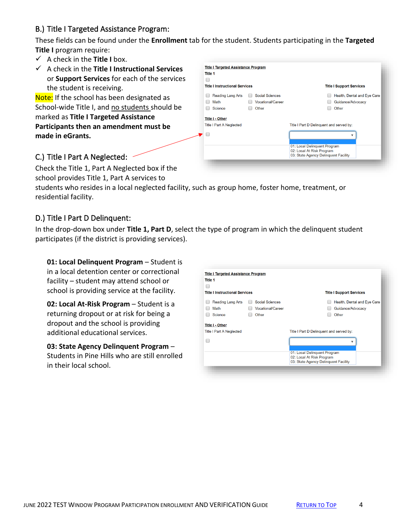# B.) Title I Targeted Assistance Program:

These fields can be found under the **Enrollment** tab for the student. Students participating in the **Targeted Title I** program require:

- ✓ A check in the **Title I** box.
- ✓ A check in the **Title I Instructional Services** or **Support Services** for each of the services the student is receiving.

Note: If the school has been designated as School-wide Title I, and no students should be marked as **Title I Targeted Assistance Participants then an amendment must be made in eGrants.** 



# C.) Title I Part A Neglected:

Check the Title 1, Part A Neglected box if the school provides Title 1, Part A services to

students who resides in a local neglected facility, such as group home, foster home, treatment, or residential facility.

# D.) Title I Part D Delinquent:

In the drop-down box under **Title 1, Part D**, select the type of program in which the delinquent student participates (if the district is providing services).

**01: Local Delinquent Program - Student is** in a local detention center or correctional facility – student may attend school or school is providing service at the facility.

**02: Local At-Risk Program** – Student is a returning dropout or at risk for being a dropout and the school is providing additional educational services.

**03: State Agency Delinquent Program** – Students in Pine Hills who are still enrolled in their local school.

| <b>Title I Targeted Assistance Program</b><br><b>Title 1</b> |                                                             |                                                                                                   |
|--------------------------------------------------------------|-------------------------------------------------------------|---------------------------------------------------------------------------------------------------|
| <b>Title I Instructional Services</b>                        |                                                             | <b>Title I Support Services</b>                                                                   |
| <b>Reading Lang Arts</b><br>Math<br>Science                  | <b>Social Sciences</b><br><b>Vocational/Career</b><br>Other | Health, Dental and Eye Care<br>Guidance/Advocacy<br>Other                                         |
| <b>Title I - Other</b><br><b>Title I Part A Neglected</b>    |                                                             | Title I Part D Delinguent and served by:                                                          |
|                                                              |                                                             | 01: Local Delinquent Program<br>02: Local At Risk Program<br>03: State Agency Delinguent Facility |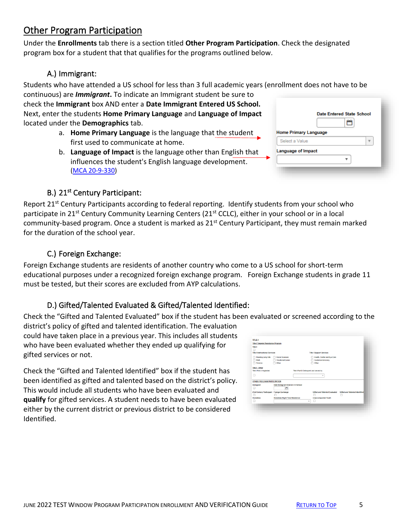# <span id="page-4-0"></span>Other Program Participation

Under the **Enrollments** tab there is a section titled **Other Program Participation**. Check the designated program box for a student that that qualifies for the programs outlined below.

# A.) Immigrant:

Students who have attended a US school for less than 3 full academic years (enrollment does not have to be continuous) are *Immigrant***.** To indicate an Immigrant student be sure to

check the **Immigrant** box AND enter a **Date Immigrant Entered US School.**  Next, enter the students **Home Primary Language** and **Language of Impact** located under the **Demographics** tab.

- a. **Home Primary Language** is the language that the student first used to communicate at home.
- b. **Language of Impact** is the language other than English that influences the student's English language development. [\(MCA 20-9-330\)](https://leg.mt.gov/bills/mca/title_0200/chapter_0090/part_0030/section_0300/0200-0090-0030-0300.html)

|                              | <b>Date Entered State School</b> |
|------------------------------|----------------------------------|
| <b>Home Primary Language</b> |                                  |
| Select a Value               |                                  |
| <b>Language of Impact</b>    |                                  |
|                              |                                  |

# B.) 21<sup>st</sup> Century Participant:

Report 21<sup>st</sup> Century Participants according to federal reporting. Identify students from your school who participate in 21<sup>st</sup> Century Community Learning Centers (21<sup>st</sup> CCLC), either in your school or in a local community-based program. Once a student is marked as 21<sup>st</sup> Century Participant, they must remain marked for the duration of the school year.

# C.) Foreign Exchange:

Foreign Exchange students are residents of another country who come to a US school for short-term educational purposes under a recognized foreign exchange program. Foreign Exchange students in grade 11 must be tested, but their scores are excluded from AYP calculations.

# D.) Gifted/Talented Evaluated & Gifted/Talented Identified:

Check the "Gifted and Talented Evaluated" box if the student has been evaluated or screened according to the

district's policy of gifted and talented identification. The evaluation could have taken place in a previous year. This includes all students who have been evaluated whether they ended up qualifying for gifted services or not.

Check the "Gifted and Talented Identified" box if the student has been identified as gifted and talented based on the district's policy. This would include all students who have been evaluated and **qualify** for gifted services. A student needs to have been evaluated either by the current district or previous district to be considered Identified.

| <b>Title I Targeted Assistance Program</b> |                                      |      |                                      |                                |
|--------------------------------------------|--------------------------------------|------|--------------------------------------|--------------------------------|
| Title I                                    |                                      |      |                                      |                                |
| <b>Title I Instructional Services</b>      |                                      |      | <b>Title I Support Services</b>      |                                |
| Reading Lang Arts                          | Social Sciences                      |      | Health, Dental and Eye Care          |                                |
| Math                                       | <b>Vocational/Career</b>             |      | Guidance/Advocacy                    |                                |
| Science                                    | Other                                |      | Other                                |                                |
| OTHER PROGRAM PARTICIPATION                |                                      |      | ٠                                    |                                |
| Immigrant                                  | Date Immigrant Entered US School     |      |                                      |                                |
| □                                          | a                                    |      |                                      |                                |
| 21st Century Participant Foreign Exchange  |                                      |      | <b>Gifted and Talented Evaluated</b> | Gifted and Talented Identified |
|                                            |                                      |      |                                      |                                |
| <b>Homeless</b>                            | <b>Homeless Night Time Residence</b> |      | <b>Unaccompanied Youth</b>           |                                |
|                                            |                                      | $\;$ | o                                    |                                |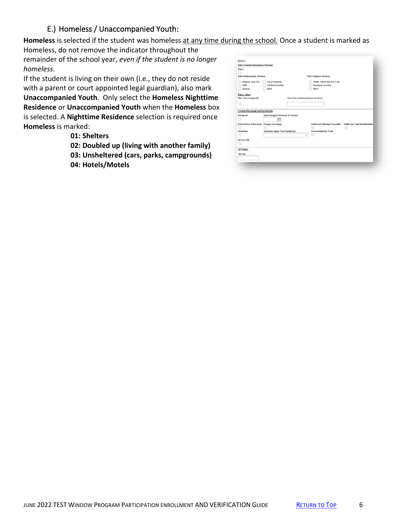# E.) Homeless / Unaccompanied Youth:

**Homeless** is selected if the student was homeless at any time during the school. Once a student is marked as

Homeless, do not remove the indicator throughout the remainder of the school year, *even if the student is no longer homeless.*

If the student is living on their own (i.e., they do not reside with a parent or court appointed legal guardian), also mark **Unaccompanied Youth**. Only select the **Homeless Nighttime Residence** or **Unaccompanied Youth** when the **Homeless** box is selected. A **Nighttime Residence** selection is required once **Homeless** is marked:

- **01: Shelters**
- **02: Doubled up (living with another family)**
- **03: Unsheltered (cars, parks, campgrounds)**
- **04: Hotels/Motels**

| <b>Title I Targeted Assistance Program</b> |                                         |                                          |                                      |                                       |
|--------------------------------------------|-----------------------------------------|------------------------------------------|--------------------------------------|---------------------------------------|
| <b>Title I</b>                             |                                         |                                          |                                      |                                       |
| п                                          |                                         |                                          |                                      |                                       |
| <b>Title I Instructional Services</b>      |                                         |                                          | <b>Title I Support Services</b>      |                                       |
| Reading Lang Arts                          | <b>Social Sciences</b>                  |                                          | Health, Dental and Eye Care          |                                       |
| Math                                       | <b>Vocational/Career</b>                |                                          | Guidance/Advocacy                    |                                       |
| Science                                    | Other                                   |                                          | Other                                |                                       |
| <b>Title I - Other</b>                     |                                         |                                          |                                      |                                       |
| <b>Title I Part A Neglected</b>            |                                         | Title I Part D Delinquent and served by: |                                      |                                       |
|                                            |                                         |                                          | ۰                                    |                                       |
|                                            |                                         |                                          |                                      |                                       |
| <b>OTHER PROGRAM PARTICIPATION</b>         |                                         |                                          |                                      |                                       |
| Immigrant                                  | <b>Date Immigrant Entered US School</b> |                                          |                                      |                                       |
| п                                          | õ                                       |                                          |                                      |                                       |
| 21st Century Participant Foreign Exchange  |                                         |                                          | <b>Gifted and Talented Evaluated</b> | <b>Gifted and Talented Identified</b> |
|                                            |                                         |                                          |                                      |                                       |
| <b>Homeless</b>                            | <b>Homeless Night Time Residence</b>    |                                          | <b>Unaccompanied Youth</b>           |                                       |
|                                            |                                         | ۰                                        |                                      |                                       |
| Section 504                                |                                         |                                          |                                      |                                       |
|                                            |                                         |                                          |                                      |                                       |
| <b>OPTIONAL</b>                            |                                         |                                          |                                      |                                       |
|                                            |                                         |                                          |                                      |                                       |
| Sort By                                    |                                         |                                          |                                      |                                       |
|                                            |                                         |                                          |                                      |                                       |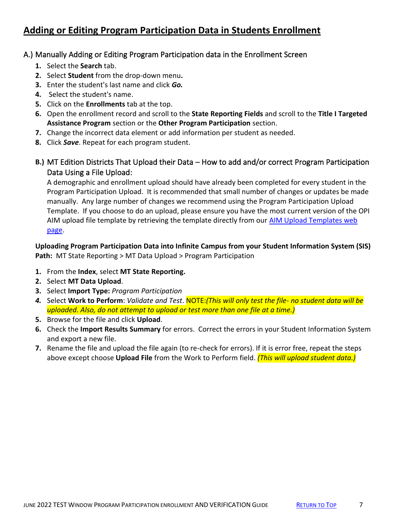# <span id="page-6-0"></span>**Adding or Editing Program Participation Data in Students Enrollment**

### A.) Manually Adding or Editing Program Participation data in the Enrollment Screen

- **1.** Select the **Search** tab.
- **2.** Select **Student** from the drop-down menu**.**
- **3.** Enter the student's last name and click *Go.*
- **4.** Select the student's name.
- **5.** Click on the **Enrollments** tab at the top.
- **6.** Open the enrollment record and scroll to the **State Reporting Fields** and scroll to the **Title I Targeted Assistance Program** section or the **Other Program Participation** section.
- **7.** Change the incorrect data element or add information per student as needed.
- **8.** Click *Save*. Repeat for each program student.
- **B.)** MT Edition Districts That Upload their Data How to add and/or correct Program Participation Data Using a File Upload:

A demographic and enrollment upload should have already been completed for every student in the Program Participation Upload. It is recommended that small number of changes or updates be made manually. Any large number of changes we recommend using the Program Participation Upload Template. If you choose to do an upload, please ensure you have the most current version of the OPI AIM upload file template by retrieving the template directly from our [AIM Upload Templates web](https://opi.mt.gov/Leadership/Data-Reporting/AIM-Achievement-in-Montana/AIM-Upload-Templates)  [page.](https://opi.mt.gov/Leadership/Data-Reporting/AIM-Achievement-in-Montana/AIM-Upload-Templates)

**Uploading Program Participation Data into Infinite Campus from your Student Information System (SIS) Path:** MT State Reporting > MT Data Upload > Program Participation

- **1.** From the **Index**, select **MT State Reporting.**
- **2.** Select **MT Data Upload**.
- **3.** Select **Import Type:** *Program Participation*
- *4.* Select **Work to Perform**: *Validate and Test*. NOTE:*(This will only test the file- no student data will be uploaded. Also, do not attempt to upload or test more than one file at a time.)*
- **5.** Browse for the file and click **Upload**.
- **6.** Check the **Import Results Summary** for errors. Correct the errors in your Student Information System and export a new file.
- **7.** Rename the file and upload the file again (to re-check for errors). If it is error free, repeat the steps above except choose **Upload File** from the Work to Perform field. *(This will upload student data.)*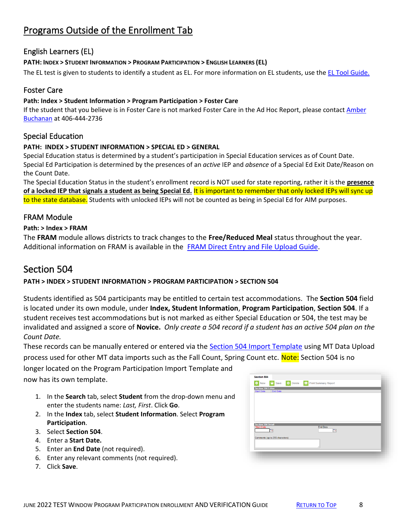# <span id="page-7-0"></span>Programs Outside of the Enrollment Tab

# English Learners (EL)

### **PATH: INDEX > STUDENT INFORMATION > PROGRAM PARTICIPATION > ENGLISH LEARNERS (EL)**

The EL test is given to students to identify a student as EL. For more information on EL students, use the [EL Tool Guide.](http://opi.mt.gov/Portals/182/Page%20Files/AIM/2%20AIM%20USER%20GUIDES/Program%20Participation/EL%20Tool%20Guide.pdf?ver=2017-09-01-164453-397)

### Foster Care

#### **Path: Index > Student Information > Program Participation > Foster Care**

If the student that you believe is in Foster Care is not marked Foster Care in the Ad Hoc Report, please contact Amber [Buchanan](mailto:abuchanan2@mt.gov) at 406-444-2736

### Special Education

#### **PATH: INDEX > STUDENT INFORMATION > SPECIAL ED > GENERAL**

Special Education status is determined by a student's participation in Special Education services as of Count Date. Special Ed Participation is determined by the presences of an *active* IEP and *absence* of a Special Ed Exit Date/Reason on the Count Date.

The Special Education Status in the student's enrollment record is NOT used for state reporting, rather it is the **presence of a locked IEP that signals a student as being Special Ed.** It is important to remember that only locked IEPs will sync up to the state database. Students with unlocked IEPs will not be counted as being in Special Ed for AIM purposes.

### FRAM Module

#### **Path: > Index > FRAM**

The **FRAM** module allows districts to track changes to the **Free/Reduced Meal** status throughout the year. Additional information on FRAM is available in the [FRAM Direct Entry and File](http://opi.mt.gov/Portals/182/Page%20Files/AIM/2%20AIM%20USER%20GUIDES/Program%20Participation/FRAM%20Direct%20Entry%20File%20Upload.pdf) Upload Guide.

# Section 504

#### **PATH > INDEX > STUDENT INFORMATION > PROGRAM PARTICIPATION > SECTION 504**

Students identified as 504 participants may be entitled to certain test accommodations. The **Section 504** field is located under its own module, under **Index, Student Information**, **Program Participation**, **Section 504**. If a student receives test accommodations but is not marked as either Special Education or 504, the test may be invalidated and assigned a score of **Novice.** *Only create a 504 record if a student has an active 504 plan on the Count Date.*

These records can be manually entered or entered via the [Section 504 Import Template](https://opi.mt.gov/Portals/182/Page%20Files/AIM/3%20AIM%20UPLOAD%20TEMPLATES/Section%20504%20Import%20Template.xlsx?ver=2021-11-29-093652-483) using MT Data Upload process used for other MT data imports such as the Fall Count, Spring Count etc. Note: Section 504 is no

longer located on the Program Participation Import Template and now has its own template.

- 1. In the **Search** tab, select **Student** from the drop-down menu and enter the students name: *Last, First*. Click **Go**.
- 2. In the **Index** tab, select **Student Information**. Select **Program Participation**.
- 3. Select **Section 504**.
- 4. Enter a **Start Date.**
- 5. Enter an **End Date** (not required).
- 6. Enter any relevant comments (not required).
- 7. Click **Save**.

| Save 8 Delete<br>New<br>e                                         | <b>e</b><br><b>Print Summary Report</b> |  |
|-------------------------------------------------------------------|-----------------------------------------|--|
|                                                                   |                                         |  |
| <b>Section 504 Editor</b><br><b>End Date</b><br><b>Start Date</b> |                                         |  |
|                                                                   |                                         |  |
|                                                                   |                                         |  |
|                                                                   |                                         |  |
|                                                                   |                                         |  |
|                                                                   |                                         |  |
|                                                                   |                                         |  |
|                                                                   |                                         |  |
| <b>Section 504 Detail</b>                                         |                                         |  |
| *Start Date                                                       | <b>End Date</b>                         |  |
| 'n                                                                | $\overline{\phantom{a}}$                |  |
|                                                                   |                                         |  |
| Comments (up to 255 characters)                                   |                                         |  |
|                                                                   |                                         |  |
|                                                                   |                                         |  |
|                                                                   |                                         |  |
|                                                                   |                                         |  |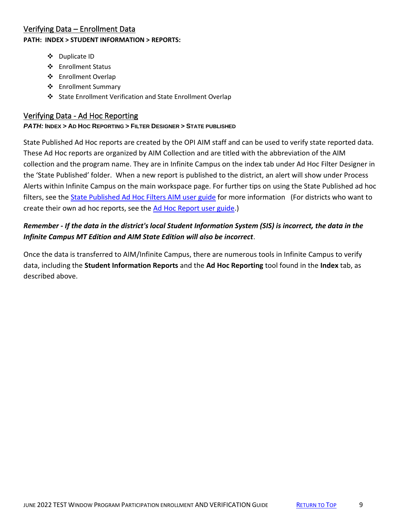### <span id="page-8-0"></span>Verifying Data – Enrollment Data **PATH: INDEX > STUDENT INFORMATION > REPORTS:**

- ❖ Duplicate ID
- ❖ Enrollment Status
- ❖ Enrollment Overlap
- ❖ Enrollment Summary
- ❖ State Enrollment Verification and State Enrollment Overlap

### <span id="page-8-1"></span>Verifying Data - Ad Hoc Reporting

### *PATH:* **INDEX > AD HOC REPORTING > FILTER DESIGNER > STATE PUBLISHED**

State Published Ad Hoc reports are created by the OPI AIM staff and can be used to verify state reported data. These Ad Hoc reports are organized by AIM Collection and are titled with the abbreviation of the AIM collection and the program name. They are in Infinite Campus on the index tab under Ad Hoc Filter Designer in the 'State Published' folder. When a new report is published to the district, an alert will show under Process Alerts within Infinite Campus on the main workspace page. For further tips on using the State Published ad hoc filters, see the **State Published Ad Hoc Filters AIM user guide** for more information (For districts who want to create their own ad hoc reports, see the [Ad Hoc Report user guide.](http://opi.mt.gov/Portals/182/Page%20Files/AIM/2%20AIM%20USER%20GUIDES/User%20Guides%20by%20Topic/Ad%20Hoc%20Reporting/AdHocReporting.pdf))

# *Remember - If the data in the district's local Student Information System (SIS) is incorrect, the data in the Infinite Campus MT Edition and AIM State Edition will also be incorrect*.

<span id="page-8-2"></span>Once the data is transferred to AIM/Infinite Campus, there are numerous tools in Infinite Campus to verify data, including the **Student Information Reports** and the **Ad Hoc Reporting** tool found in the **Index** tab, as described above.